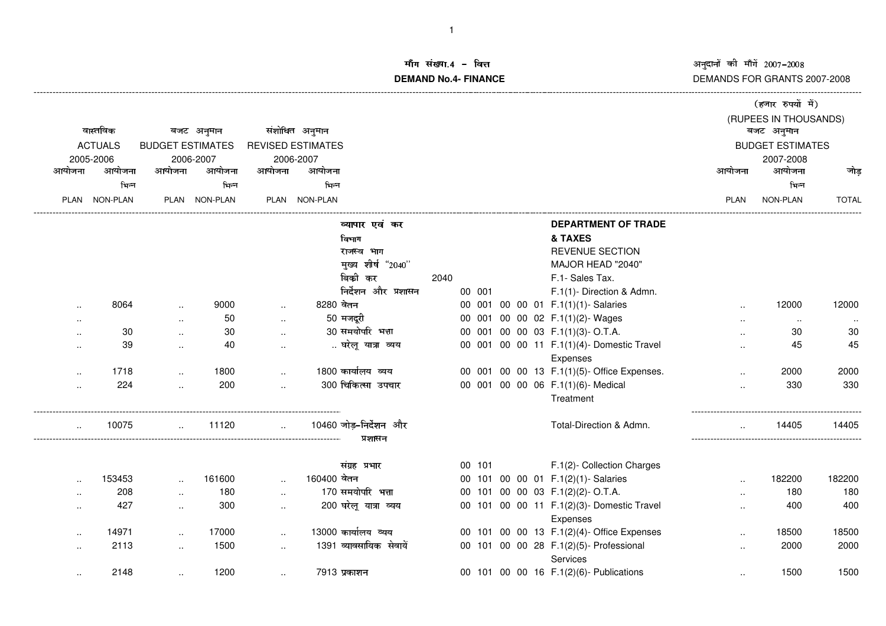# अनुदानों को माँगें 2007–2008<br>DEMANDS FOR GRANTS 2007-2008

-------------------------------------------------------------------------------------------------------------------------------------------------------------------------------------------------------------------------------------------------------------------------

### ਸਿ ਸ਼ਾਂਕਸ਼ ⊿– **माग सख्या.4 - वित्त**<br>DEMAND No.4- FINANCE <del>त्रत</del> अस्ति । अस्ति । अस्ति । अस्ति । अस्ति । अस्ति । अस्ति । अस्ति । अस्ति । अस्ति । अस्ति । अस्ति । अस्ति । अ

|                                                                     |           |                      |                          |                      |               |                         |      |        |  |                                                        |                         | (हजार रुपयों में)     |              |
|---------------------------------------------------------------------|-----------|----------------------|--------------------------|----------------------|---------------|-------------------------|------|--------|--|--------------------------------------------------------|-------------------------|-----------------------|--------------|
|                                                                     |           |                      |                          |                      |               |                         |      |        |  |                                                        |                         | (RUPEES IN THOUSANDS) |              |
| वास्तविक<br>बजट अनुमान<br><b>ACTUALS</b><br><b>BUDGET ESTIMATES</b> |           |                      | संशोधित अनुमान           |                      |               |                         |      |        |  | बजट अनुमान                                             |                         |                       |              |
|                                                                     |           |                      | <b>REVISED ESTIMATES</b> |                      |               |                         |      |        |  |                                                        | <b>BUDGET ESTIMATES</b> |                       |              |
|                                                                     | 2005-2006 |                      | 2006-2007                |                      | 2006-2007     |                         |      |        |  |                                                        |                         | 2007-2008             |              |
| आयोजना                                                              | आयोजना    | आयोजना               | आयोजना                   | आयोजना               | आयोजना        |                         |      |        |  |                                                        | आयोजना                  | आयोजना                | जोड़         |
|                                                                     | भिन्न     |                      | भिन्न                    |                      | भिन्न         |                         |      |        |  |                                                        |                         | भिन्न                 |              |
| PLAN                                                                | NON-PLAN  |                      | PLAN NON-PLAN            |                      | PLAN NON-PLAN |                         |      |        |  |                                                        | <b>PLAN</b>             | NON-PLAN              | <b>TOTAL</b> |
|                                                                     |           |                      |                          |                      |               | व्यापार एवं कर          |      |        |  | <b>DEPARTMENT OF TRADE</b>                             |                         |                       |              |
|                                                                     |           |                      |                          |                      |               | विभाग                   |      |        |  | & TAXES                                                |                         |                       |              |
|                                                                     |           |                      |                          |                      |               | राजस्व भाग              |      |        |  | <b>REVENUE SECTION</b>                                 |                         |                       |              |
|                                                                     |           |                      |                          |                      |               | मुख्य शीर्ष "2040"      |      |        |  | MAJOR HEAD "2040"                                      |                         |                       |              |
|                                                                     |           |                      |                          |                      |               | बिकी कर                 | 2040 |        |  | F.1- Sales Tax.                                        |                         |                       |              |
|                                                                     |           |                      |                          |                      |               | निर्देशन और प्रशासन     |      | 00 001 |  | F.1(1)- Direction & Admn.                              |                         |                       |              |
|                                                                     | 8064      | $\cdot$              | 9000                     | $\ddot{\phantom{a}}$ | 8280 वेतन     |                         |      |        |  | 00 001 00 00 01 F.1(1)(1)-Salaries                     | $\ddot{\phantom{a}}$    | 12000                 | 12000        |
| $\cdot$ .                                                           |           | $\ldots$             | 50                       |                      |               | 50 मजदूरी               |      |        |  | 00 001 00 00 02 F.1(1)(2)- Wages                       |                         | $\sim$                |              |
|                                                                     | 30        | $\ldots$             | 30                       |                      |               | 30 समयोपरि भत्ता        |      |        |  | 00 001 00 00 03 F.1(1)(3)-O.T.A.                       |                         | 30                    | 30           |
| $\cdot$ .                                                           | 39        | $\ddotsc$            | 40                       |                      |               | घरेलू यात्रा व्यय       |      |        |  | 00 001 00 00 11 F.1(1)(4)- Domestic Travel             |                         | 45                    | 45           |
|                                                                     |           |                      |                          |                      |               |                         |      |        |  | Expenses                                               |                         |                       |              |
|                                                                     | 1718      | $\ddotsc$            | 1800                     |                      |               | 1800 कार्यालय व्यय      |      |        |  | 00 001 00 00 13 F.1(1)(5)- Office Expenses.            |                         | 2000                  | 2000         |
| $\ddot{\phantom{a}}$                                                | 224       | $\ddot{\phantom{a}}$ | 200                      |                      |               | 300 चिकित्सा उपचार      |      |        |  | 00 001 00 00 06 F.1(1)(6)- Medical                     | $\ddotsc$               | 330                   | 330          |
|                                                                     |           |                      |                          |                      |               |                         |      |        |  | Treatment                                              |                         |                       |              |
|                                                                     | 10075     |                      | 11120                    |                      |               | 10460 जोड़-निर्देशन और  |      |        |  | Total-Direction & Admn.                                |                         | 14405                 | 14405        |
|                                                                     |           |                      |                          |                      |               | प्रशासन                 |      |        |  |                                                        |                         |                       |              |
|                                                                     |           |                      |                          |                      |               | संग्रह प्रभार           |      | 00 101 |  | F.1(2)- Collection Charges                             |                         |                       |              |
|                                                                     | 153453    |                      | 161600                   |                      | 160400 वेतन   |                         |      |        |  | 00 101 00 00 01 F.1(2)(1)-Salaries                     |                         | 182200                | 182200       |
|                                                                     | 208       | $\mathbf{r}$ .       | 180                      |                      |               | 170 समयोपरि भत्ता       |      |        |  | 00 101 00 00 03 F.1(2)(2)-O.T.A.                       |                         | 180                   | 180          |
| $\cdot$ .                                                           | 427       | $\ldots$             | 300                      |                      |               | 200 घरेलू यात्रा व्यय   |      |        |  | 00 101 00 00 11 F.1(2)(3)- Domestic Travel<br>Expenses | $\ddotsc$               | 400                   | 400          |
|                                                                     | 14971     | $\mathbf{r}$ .       | 17000                    | $\ddot{\phantom{a}}$ |               | 13000 कार्यालय व्यय     |      |        |  | 00 101 00 00 13 F.1(2)(4)- Office Expenses             | $\ddotsc$               | 18500                 | 18500        |
| $\cdot$ .                                                           | 2113      | $\ldots$             | 1500                     | $\ddotsc$            |               | 1391 व्यावसायिक सेवायें |      |        |  | 00 101 00 00 28 F.1(2)(5)- Professional                | $\ddot{\phantom{a}}$    | 2000                  | 2000         |
|                                                                     |           |                      |                          |                      |               |                         |      |        |  | Services                                               |                         |                       |              |
| $\cdot$ .                                                           | 2148      | $\ddotsc$            | 1200                     | $\ldots$             |               | 7913 प्रकाशन            |      |        |  | 00 101 00 00 16 F.1(2)(6)- Publications                | $\cdot$ .               | 1500                  | 1500         |
|                                                                     |           |                      |                          |                      |               |                         |      |        |  |                                                        |                         |                       |              |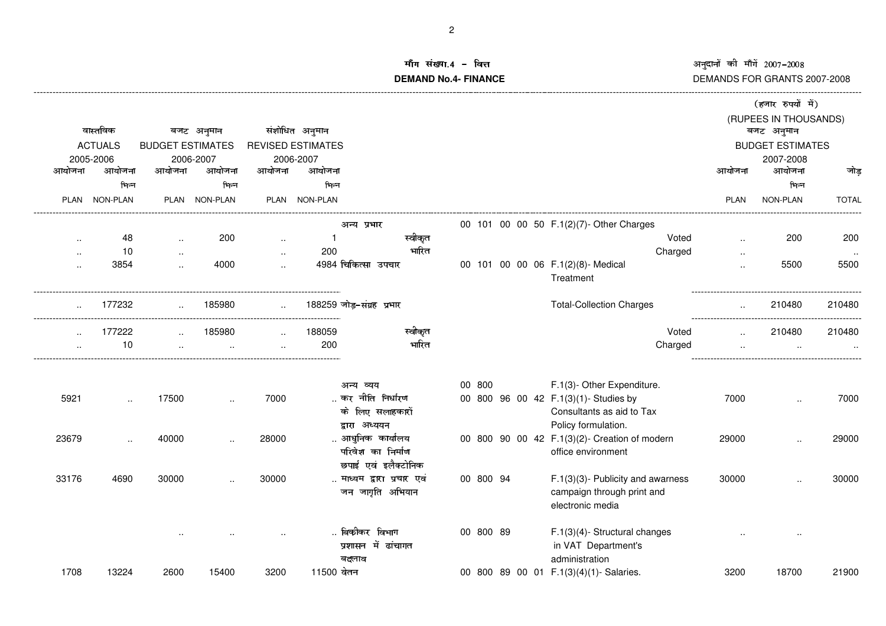## अनुदानों की माँगें 2007-2008

### DEMANDS FOR GRANTS 2007-2008

 $---$ 

### माँग संख्या.4 - वित्त **DEMAND No.4- FINANCE** --------------------------

---------------------

|                      |                      |                         |                     |                      |                          |                          |           |                                                 |             | (हजार रुपयों में)                   |              |
|----------------------|----------------------|-------------------------|---------------------|----------------------|--------------------------|--------------------------|-----------|-------------------------------------------------|-------------|-------------------------------------|--------------|
|                      | वास्तविक             |                         | बजट अनुमान          |                      | संशोधित अनुमान           |                          |           |                                                 |             | (RUPEES IN THOUSANDS)<br>बजट अनुमान |              |
|                      | <b>ACTUALS</b>       | <b>BUDGET ESTIMATES</b> |                     |                      | <b>REVISED ESTIMATES</b> |                          |           |                                                 |             | <b>BUDGET ESTIMATES</b>             |              |
|                      |                      |                         |                     |                      |                          |                          |           |                                                 |             |                                     |              |
| आयोजना               | 2005-2006<br>आयोजना  | आयोजना                  | 2006-2007<br>आयोजना | आयोजना               | 2006-2007<br>आयोजना      |                          |           |                                                 | आयोजना      | 2007-2008<br>आयोजना                 | जोड़         |
|                      |                      |                         |                     |                      |                          |                          |           |                                                 |             |                                     |              |
|                      | भिन्न                |                         | भिन्न               |                      | भिन्न                    |                          |           |                                                 |             | भिन्न                               |              |
|                      | PLAN NON-PLAN        |                         | PLAN NON-PLAN       |                      | PLAN NON-PLAN            |                          |           |                                                 | <b>PLAN</b> | NON-PLAN                            | <b>TOTAL</b> |
|                      |                      |                         |                     |                      |                          | अन्य प्रभार              |           | 00 101 00 00 50 F.1(2)(7)- Other Charges        |             |                                     |              |
| $\ddot{\phantom{a}}$ | 48                   | $\sim$                  | 200                 | $\ddotsc$            |                          | स्वीकृत                  |           | Voted                                           |             | 200                                 | 200          |
| $\ddot{\phantom{a}}$ | 10                   | $\ddot{\phantom{a}}$    |                     | $\sim$               | 200                      | भारित                    |           | Charged                                         |             |                                     |              |
| $\cdot$ .            | 3854                 |                         | 4000                | $\ddot{\phantom{a}}$ |                          | 4984 चिकित्सा उपचार      |           | 00 101 00 00 06 F.1(2)(8)- Medical<br>Treatment |             | 5500                                | 5500         |
|                      | 177232               |                         | 185980              |                      |                          | 188259 जोड-संग्रह प्रभार |           | <b>Total-Collection Charges</b>                 |             | 210480                              | 210480       |
|                      | 177222               |                         | 185980              |                      | 188059                   | स्वीकृत                  |           | Voted                                           |             | 210480                              | 210480       |
|                      | 10                   |                         |                     |                      | 200                      | भारित                    |           | Charged                                         |             |                                     |              |
|                      |                      |                         |                     |                      |                          |                          |           |                                                 |             |                                     |              |
|                      |                      |                         |                     |                      |                          | अन्य व्यय                | 00 800    | F.1(3)- Other Expenditure.                      |             |                                     |              |
| 5921                 | $\ddot{\phantom{a}}$ | 17500                   |                     | 7000                 |                          | कर नीति निर्धारण         |           | 00 800 96 00 42 F.1(3)(1)- Studies by           | 7000        |                                     | 7000         |
|                      |                      |                         |                     |                      |                          | के लिए सलाहकारों         |           | Consultants as aid to Tax                       |             |                                     |              |
|                      |                      |                         |                     |                      |                          | द्वारा अध्ययन            |           | Policy formulation.                             |             |                                     |              |
| 23679                | $\sim$               | 40000                   | $\cdot$ .           | 28000                |                          | आधुनिक कार्यालय          |           | 00 800 90 00 42 F.1(3)(2)- Creation of modern   | 29000       |                                     | 29000        |
|                      |                      |                         |                     |                      |                          | परिवेश का निर्माण        |           | office environment                              |             |                                     |              |
|                      |                      |                         |                     |                      |                          | छपाई एवं इलैक्टोनिक      |           |                                                 |             |                                     |              |
| 33176                | 4690                 | 30000                   | $\cdot$ .           | 30000                |                          | माध्यम द्वारा प्रचार एवं | 00 800 94 | $F.1(3)(3)$ - Publicity and awarness            | 30000       |                                     | 30000        |
|                      |                      |                         |                     |                      |                          | जन जागृति अभियान         |           | campaign through print and                      |             |                                     |              |
|                      |                      |                         |                     |                      |                          |                          |           | electronic media                                |             |                                     |              |
|                      |                      |                         |                     |                      |                          | बिकौकर विभाग             | 00 800 89 | $F.1(3)(4)$ - Structural changes                |             |                                     |              |
|                      |                      |                         |                     |                      |                          | प्रशासन में ढांचागत      |           | in VAT Department's                             |             |                                     |              |
|                      |                      |                         |                     |                      |                          | बदलाव                    |           | administration                                  |             |                                     |              |
| 1708                 | 13224                | 2600                    | 15400               | 3200                 | 11500 वेतन               |                          |           | 00 800 89 00 01 F.1(3)(4)(1)-Salaries.          | 3200        | 18700                               | 21900        |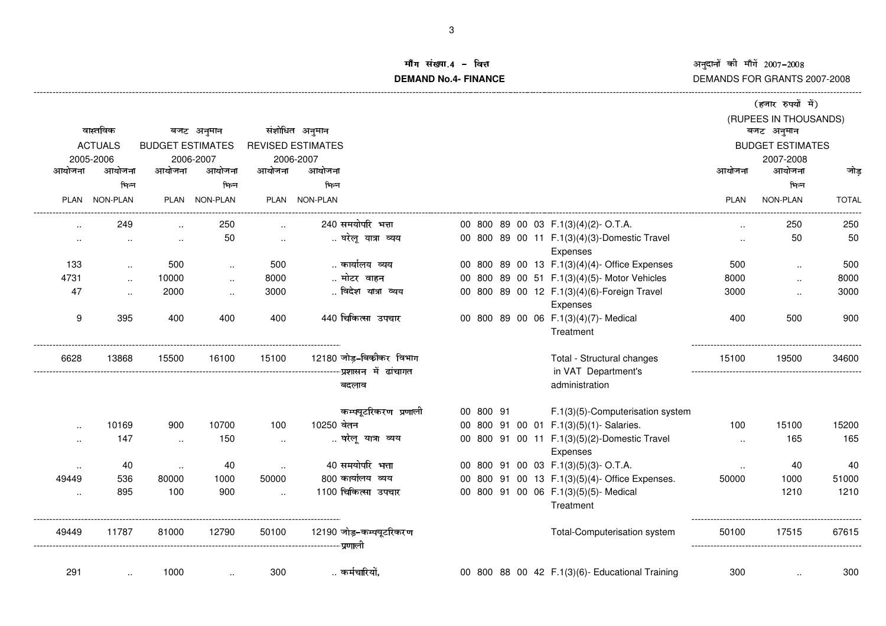# अनुदानों को माँगें 2007–2008<br>DEMANDS FOR GRANTS 2007-2008

-------------------------------------------------------------------------------------------------------------------------------------------------------------------------------------------------------------------------------------------------------------------------

#### ਸ਼ਿ ਸ਼ਾਂਕਾ **माग सख्या.4 - वित्त**<br>DEMAND No.4- FINANCE <u>क्त अस्ति । अस्ति । अस्ति । अस्ति । अस्ति । अस्ति । अस्ति । अस्ति । अस्ति । अस्ति । अस्ति । अस्ति । अस्ति । अ</u>

|                      |                |                   |                         |                      |                          |           |  |                                                          |                 | (हजार रुपयों में)                   |              |
|----------------------|----------------|-------------------|-------------------------|----------------------|--------------------------|-----------|--|----------------------------------------------------------|-----------------|-------------------------------------|--------------|
|                      | वास्तविक       |                   | बजट अनुमान              |                      | संशोधित अनुमान           |           |  |                                                          |                 | (RUPEES IN THOUSANDS)<br>बजट अनुमान |              |
|                      | <b>ACTUALS</b> |                   | <b>BUDGET ESTIMATES</b> |                      | <b>REVISED ESTIMATES</b> |           |  |                                                          |                 | <b>BUDGET ESTIMATES</b>             |              |
| 2005-2006            |                | 2006-2007         |                         |                      | 2006-2007                |           |  |                                                          |                 | 2007-2008                           |              |
| आयोजना               | आयोजना         | आयोजना            | आयोजना                  | आयोजना               | आयोजना                   |           |  |                                                          | आयोजना          | आयोजना                              | जोड          |
|                      | भिन्न          |                   | भिन्न                   |                      | भिन्न                    |           |  |                                                          |                 | भिन्न                               |              |
|                      | PLAN NON-PLAN  |                   | PLAN NON-PLAN           |                      | PLAN NON-PLAN            |           |  |                                                          | <b>PLAN</b>     | NON-PLAN                            | <b>TOTAL</b> |
| $\ddot{\phantom{a}}$ | 249            |                   | 250                     |                      | 240 समयोपरि भत्ता        |           |  | 00 800 89 00 03 F.1(3)(4)(2)-O.T.A.                      |                 | 250                                 | 250          |
| $\ddotsc$            | $\ldots$       | $\sim$            | 50                      | $\sim$               | घरेलू यात्रा व्यय        |           |  | 00 800 89 00 11 F.1(3)(4)(3)-Domestic Travel             | $\sim$          | 50                                  | 50           |
|                      |                |                   |                         |                      |                          |           |  | Expenses                                                 |                 |                                     |              |
| 133                  | $\ddotsc$      | 500               |                         | 500                  | कार्यालय व्यय            |           |  | 00 800 89 00 13 F.1(3)(4)(4)- Office Expenses            | 500             | $\ddotsc$                           | 500          |
| 4731                 | $\sim$         | 10000             | $\sim$                  | 8000                 | मोटर वाहन                |           |  | 00 800 89 00 51 F.1(3)(4)(5)- Motor Vehicles             | 8000            | $\ddotsc$                           | 8000         |
| 47                   | $\ddotsc$      | 2000              | $\ldots$                | 3000                 | विदेश यात्रा व्यय        |           |  | 00 800 89 00 12 F.1(3)(4)(6)-Foreign Travel              | 3000            | $\ddotsc$                           | 3000         |
|                      |                |                   |                         |                      |                          |           |  | Expenses                                                 |                 |                                     |              |
| $\boldsymbol{9}$     | 395            | 400               | 400                     | 400                  | 440 चिकित्सा उपचार       |           |  | 00 800 89 00 06 F.1(3)(4)(7)- Medical                    | 400             | 500                                 | 900          |
|                      |                |                   |                         |                      |                          |           |  | Treatment                                                |                 |                                     |              |
| 6628                 | 13868          | 15500             | 16100                   | 15100                | 12180 जोड़-बिकीकर विभाग  |           |  | Total - Structural changes                               | 15100           | 19500                               | 34600        |
|                      |                |                   |                         |                      |                          |           |  | in VAT Department's                                      |                 |                                     |              |
|                      |                |                   |                         |                      | बदलाव                    |           |  | administration                                           |                 |                                     |              |
|                      |                |                   |                         |                      | कम्पयूटरिकरण प्रणाली     | 00 800 91 |  | F.1(3)(5)-Computerisation system                         |                 |                                     |              |
| $\cdot$ .            | 10169          | 900               | 10700                   | 100                  | 10250 वेतन               |           |  | 00 800 91 00 01 F.1(3)(5)(1)-Salaries.                   | 100             | 15100                               | 15200        |
| $\cdot$ .            | 147            | $\ddotsc$         | 150                     | $\cdot$              | घरेलू यात्रा व्यय        |           |  | 00 800 91 00 11 F.1(3)(5)(2)-Domestic Travel<br>Expenses | $\ddotsc$       | 165                                 | 165          |
|                      | 40             |                   | 40                      |                      | 40 समयोपरि भत्ता         |           |  | 00 800 91 00 03 F.1(3)(5)(3)-O.T.A.                      |                 | 40                                  | 40           |
| $\cdot$ .<br>49449   | 536            | $\ldots$<br>80000 | 1000                    | 50000                | 800 कार्यालय व्यय        |           |  | 00 800 91 00 13 F.1(3)(5)(4)- Office Expenses.           | $\sim$<br>50000 | 1000                                | 51000        |
|                      | 895            | 100               | 900                     | $\ddot{\phantom{a}}$ | 1100 चिकित्सा उपचार      |           |  | 00 800 91 00 06 F.1(3)(5)(5)- Medical                    |                 | 1210                                | 1210         |
| $\ddotsc$            |                |                   |                         |                      |                          |           |  | Treatment                                                |                 |                                     |              |
| 49449                | 11787          | 81000             | 12790                   | 50100                | 12190 जोड़-कम्पयूटरिकरण  |           |  | Total-Computerisation system                             | 50100           | 17515                               | 67615        |
|                      |                |                   |                         |                      |                          |           |  |                                                          |                 |                                     |              |
| 291                  | $\ddotsc$      | 1000              |                         | 300                  | कर्मचारियो.              |           |  | 00 800 88 00 42 F.1(3)(6)- Educational Training          | 300             |                                     | 300          |
|                      |                |                   |                         |                      |                          |           |  |                                                          |                 |                                     |              |